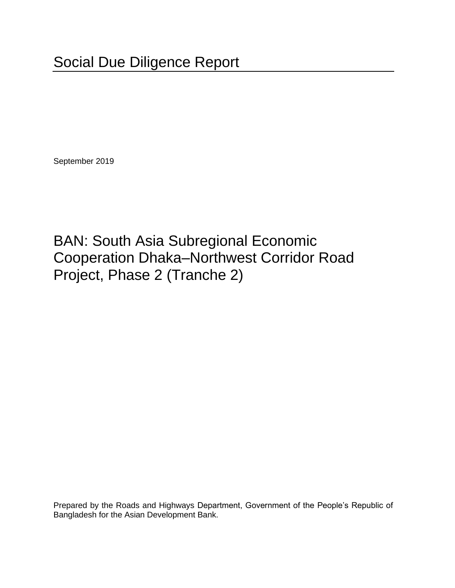September 2019

BAN: South Asia Subregional Economic Cooperation Dhaka–Northwest Corridor Road Project, Phase 2 (Tranche 2)

Prepared by the Roads and Highways Department, Government of the People's Republic of Bangladesh for the Asian Development Bank.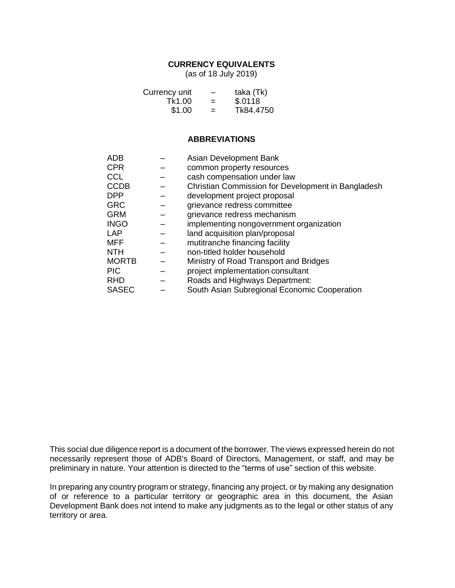### **CURRENCY EQUIVALENTS**

(as of 18 July 2019)

| Currency unit | -   | taka (Tk) |
|---------------|-----|-----------|
| Tk1.00        | =   | \$.0118   |
| \$1.00        | $=$ | Tk84.4750 |

#### **ABBREVIATIONS**

| <b>ADB</b>   | Asian Development Bank                             |
|--------------|----------------------------------------------------|
| <b>CPR</b>   | common property resources                          |
| <b>CCL</b>   | cash compensation under law                        |
| <b>CCDB</b>  | Christian Commission for Development in Bangladesh |
| <b>DPP</b>   | development project proposal                       |
| <b>GRC</b>   | grievance redress committee                        |
| <b>GRM</b>   | grievance redress mechanism                        |
| <b>INGO</b>  | implementing nongovernment organization            |
| <b>LAP</b>   | land acquisition plan/proposal                     |
| <b>MFF</b>   | mutitranche financing facility                     |
| <b>NTH</b>   | non-titled holder household                        |
| <b>MORTB</b> | Ministry of Road Transport and Bridges             |
| <b>PIC</b>   | project implementation consultant                  |
| <b>RHD</b>   | Roads and Highways Department:                     |
| <b>SASEC</b> | South Asian Subregional Economic Cooperation       |

This social due diligence report is a document of the borrower. The views expressed herein do not necessarily represent those of ADB's Board of Directors, Management, or staff, and may be preliminary in nature. Your attention is directed to the "terms of use" section of this website.

In preparing any country program or strategy, financing any project, or by making any designation of or reference to a particular territory or geographic area in this document, the Asian Development Bank does not intend to make any judgments as to the legal or other status of any territory or area.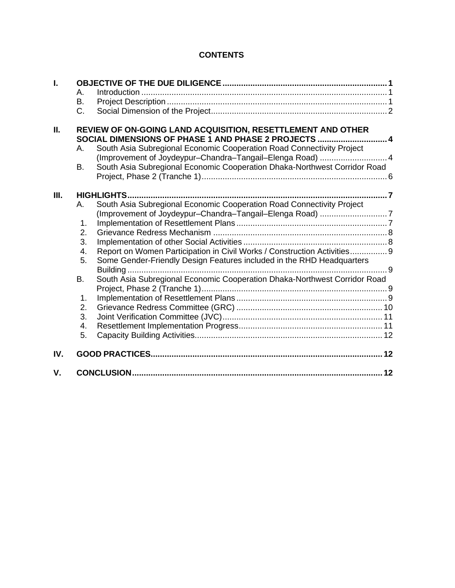# **CONTENTS**

| I.   | А.<br>В.<br>$C_{\cdot}$                                                                                             |                                                                           |  |  |
|------|---------------------------------------------------------------------------------------------------------------------|---------------------------------------------------------------------------|--|--|
| П.   | REVIEW OF ON-GOING LAND ACQUISITION, RESETTLEMENT AND OTHER<br>SOCIAL DIMENSIONS OF PHASE 1 AND PHASE 2 PROJECTS  4 |                                                                           |  |  |
|      | A. .                                                                                                                | South Asia Subregional Economic Cooperation Road Connectivity Project     |  |  |
|      |                                                                                                                     | (Improvement of Joydeypur-Chandra-Tangail-Elenga Road)  4                 |  |  |
|      | <b>B.</b>                                                                                                           | South Asia Subregional Economic Cooperation Dhaka-Northwest Corridor Road |  |  |
|      |                                                                                                                     |                                                                           |  |  |
| III. |                                                                                                                     |                                                                           |  |  |
|      | А.                                                                                                                  | South Asia Subregional Economic Cooperation Road Connectivity Project     |  |  |
|      |                                                                                                                     | (Improvement of Joydeypur-Chandra-Tangail-Elenga Road) 7                  |  |  |
|      | 1.                                                                                                                  |                                                                           |  |  |
|      | 2.                                                                                                                  |                                                                           |  |  |
|      | 3.                                                                                                                  |                                                                           |  |  |
|      | 4.                                                                                                                  | Report on Women Participation in Civil Works / Construction Activities 9  |  |  |
|      | 5.                                                                                                                  | Some Gender-Friendly Design Features included in the RHD Headquarters     |  |  |
|      |                                                                                                                     |                                                                           |  |  |
|      | В.                                                                                                                  | South Asia Subregional Economic Cooperation Dhaka-Northwest Corridor Road |  |  |
|      |                                                                                                                     |                                                                           |  |  |
|      | 1.                                                                                                                  |                                                                           |  |  |
|      | 2.                                                                                                                  |                                                                           |  |  |
|      | 3.                                                                                                                  |                                                                           |  |  |
|      | 4.                                                                                                                  |                                                                           |  |  |
|      | 5.                                                                                                                  |                                                                           |  |  |
| IV.  |                                                                                                                     |                                                                           |  |  |
| V.   |                                                                                                                     |                                                                           |  |  |
|      |                                                                                                                     |                                                                           |  |  |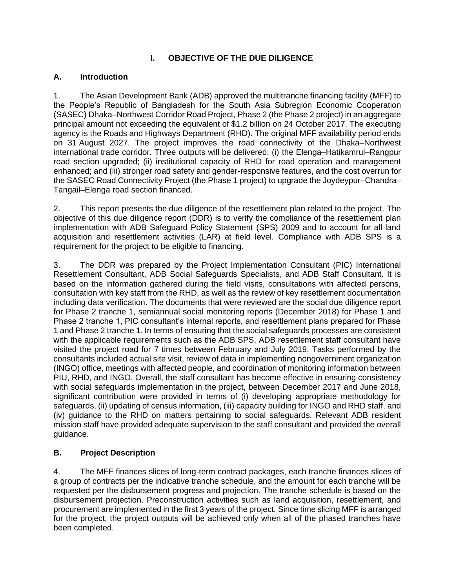# **I. OBJECTIVE OF THE DUE DILIGENCE**

### <span id="page-4-1"></span><span id="page-4-0"></span>**A. Introduction**

1. The Asian Development Bank (ADB) approved the multitranche financing facility (MFF) to the People's Republic of Bangladesh for the South Asia Subregion Economic Cooperation (SASEC) Dhaka–Northwest Corridor Road Project, Phase 2 (the Phase 2 project) in an aggregate principal amount not exceeding the equivalent of \$1.2 billion on 24 October 2017. The executing agency is the Roads and Highways Department (RHD). The original MFF availability period ends on 31 August 2027. The project improves the road connectivity of the Dhaka–Northwest international trade corridor. Three outputs will be delivered: (i) the Elenga–Hatikamrul–Rangpur road section upgraded; (ii) institutional capacity of RHD for road operation and management enhanced; and (iii) stronger road safety and gender-responsive features, and the cost overrun for the SASEC Road Connectivity Project (the Phase 1 project) to upgrade the Joydeypur–Chandra– Tangail–Elenga road section financed.

2. This report presents the due diligence of the resettlement plan related to the project. The objective of this due diligence report (DDR) is to verify the compliance of the resettlement plan implementation with ADB Safeguard Policy Statement (SPS) 2009 and to account for all land acquisition and resettlement activities (LAR) at field level. Compliance with ADB SPS is a requirement for the project to be eligible to financing.

3. The DDR was prepared by the Project Implementation Consultant (PIC) International Resettlement Consultant, ADB Social Safeguards Specialists, and ADB Staff Consultant. It is based on the information gathered during the field visits, consultations with affected persons, consultation with key staff from the RHD, as well as the review of key resettlement documentation including data verification. The documents that were reviewed are the social due diligence report for Phase 2 tranche 1, semiannual social monitoring reports (December 2018) for Phase 1 and Phase 2 tranche 1, PIC consultant's internal reports, and resettlement plans prepared for Phase 1 and Phase 2 tranche 1. In terms of ensuring that the social safeguards processes are consistent with the applicable requirements such as the ADB SPS, ADB resettlement staff consultant have visited the project road for 7 times between February and July 2019. Tasks performed by the consultants included actual site visit, review of data in implementing nongovernment organization (INGO) office, meetings with affected people, and coordination of monitoring information between PIU, RHD, and INGO. Overall, the staff consultant has become effective in ensuring consistency with social safeguards implementation in the project, between December 2017 and June 2018, significant contribution were provided in terms of (i) developing appropriate methodology for safeguards, (ii) updating of census information, (iii) capacity building for INGO and RHD staff, and (iv) guidance to the RHD on matters pertaining to social safeguards. Relevant ADB resident mission staff have provided adequate supervision to the staff consultant and provided the overall guidance.

# <span id="page-4-2"></span>**B. Project Description**

4. The MFF finances slices of long-term contract packages, each tranche finances slices of a group of contracts per the indicative tranche schedule, and the amount for each tranche will be requested per the disbursement progress and projection. The tranche schedule is based on the disbursement projection. Preconstruction activities such as land acquisition, resettlement, and procurement are implemented in the first 3 years of the project. Since time slicing MFF is arranged for the project, the project outputs will be achieved only when all of the phased tranches have been completed.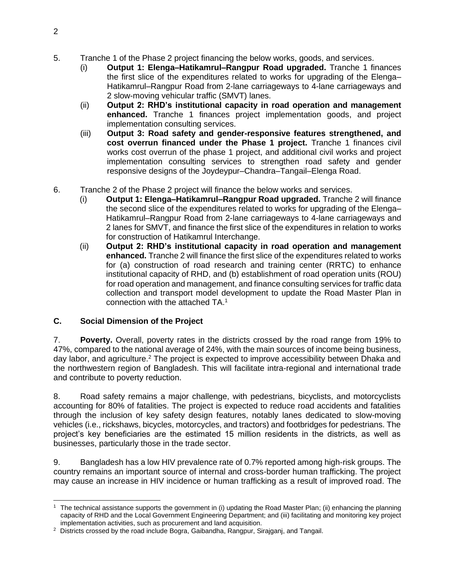- 5. Tranche 1 of the Phase 2 project financing the below works, goods, and services.
	- (i) **Output 1: Elenga–Hatikamrul–Rangpur Road upgraded.** Tranche 1 finances the first slice of the expenditures related to works for upgrading of the Elenga– Hatikamrul–Rangpur Road from 2-lane carriageways to 4-lane carriageways and 2 slow-moving vehicular traffic (SMVT) lanes.
	- (ii) **Output 2: RHD's institutional capacity in road operation and management enhanced.** Tranche 1 finances project implementation goods, and project implementation consulting services.
	- (iii) **Output 3: Road safety and gender-responsive features strengthened, and cost overrun financed under the Phase 1 project.** Tranche 1 finances civil works cost overrun of the phase 1 project, and additional civil works and project implementation consulting services to strengthen road safety and gender responsive designs of the Joydeypur–Chandra–Tangail–Elenga Road.
- 6. Tranche 2 of the Phase 2 project will finance the below works and services.
	- (i) **Output 1: Elenga–Hatikamrul–Rangpur Road upgraded.** Tranche 2 will finance the second slice of the expenditures related to works for upgrading of the Elenga– Hatikamrul–Rangpur Road from 2-lane carriageways to 4-lane carriageways and 2 lanes for SMVT, and finance the first slice of the expenditures in relation to works for construction of Hatikamrul Interchange.
	- (ii) **Output 2: RHD's institutional capacity in road operation and management enhanced.** Tranche 2 will finance the first slice of the expenditures related to works for (a) construction of road research and training center (RRTC) to enhance institutional capacity of RHD, and (b) establishment of road operation units (ROU) for road operation and management, and finance consulting services for traffic data collection and transport model development to update the Road Master Plan in connection with the attached TA. 1

#### <span id="page-5-0"></span>**C. Social Dimension of the Project**

7. **Poverty.** Overall, poverty rates in the districts crossed by the road range from 19% to 47%, compared to the national average of 24%, with the main sources of income being business, day labor, and agriculture.<sup>2</sup> The project is expected to improve accessibility between Dhaka and the northwestern region of Bangladesh. This will facilitate intra-regional and international trade and contribute to poverty reduction.

8. Road safety remains a major challenge, with pedestrians, bicyclists, and motorcyclists accounting for 80% of fatalities. The project is expected to reduce road accidents and fatalities through the inclusion of key safety design features, notably lanes dedicated to slow-moving vehicles (i.e., rickshaws, bicycles, motorcycles, and tractors) and footbridges for pedestrians. The project's key beneficiaries are the estimated 15 million residents in the districts, as well as businesses, particularly those in the trade sector.

9. Bangladesh has a low HIV prevalence rate of 0.7% reported among high-risk groups. The country remains an important source of internal and cross-border human trafficking. The project may cause an increase in HIV incidence or human trafficking as a result of improved road. The

<sup>&</sup>lt;sup>1</sup> The technical assistance supports the government in (i) updating the Road Master Plan; (ii) enhancing the planning capacity of RHD and the Local Government Engineering Department; and (iii) facilitating and monitoring key project implementation activities, such as procurement and land acquisition.

<sup>&</sup>lt;sup>2</sup> Districts crossed by the road include Bogra, Gaibandha, Rangpur, Sirajganj, and Tangail.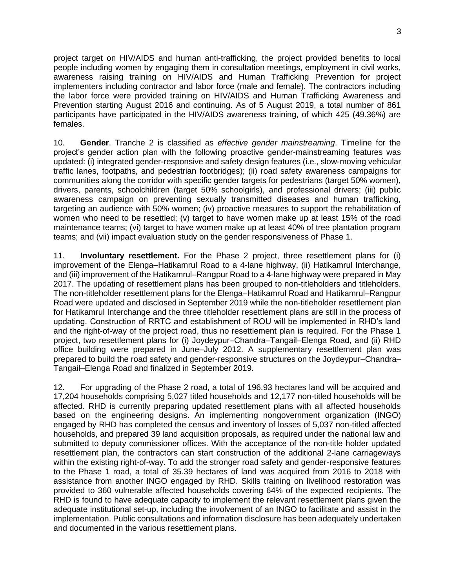project target on HIV/AIDS and human anti-trafficking, the project provided benefits to local people including women by engaging them in consultation meetings, employment in civil works, awareness raising training on HIV/AIDS and Human Trafficking Prevention for project implementers including contractor and labor force (male and female). The contractors including the labor force were provided training on HIV/AIDS and Human Trafficking Awareness and Prevention starting August 2016 and continuing. As of 5 August 2019, a total number of 861 participants have participated in the HIV/AIDS awareness training, of which 425 (49.36%) are females.

10. **Gender**. Tranche 2 is classified as *effective gender mainstreaming*. Timeline for the project's gender action plan with the following proactive gender-mainstreaming features was updated: (i) integrated gender-responsive and safety design features (i.e., slow-moving vehicular traffic lanes, footpaths, and pedestrian footbridges); (ii) road safety awareness campaigns for communities along the corridor with specific gender targets for pedestrians (target 50% women), drivers, parents, schoolchildren (target 50% schoolgirls), and professional drivers; (iii) public awareness campaign on preventing sexually transmitted diseases and human trafficking, targeting an audience with 50% women; (iv) proactive measures to support the rehabilitation of women who need to be resettled; (v) target to have women make up at least 15% of the road maintenance teams; (vi) target to have women make up at least 40% of tree plantation program teams; and (vii) impact evaluation study on the gender responsiveness of Phase 1.

11. **Involuntary resettlement.** For the Phase 2 project, three resettlement plans for (i) improvement of the Elenga–Hatikamrul Road to a 4-lane highway, (ii) Hatikamrul Interchange, and (iii) improvement of the Hatikamrul–Rangpur Road to a 4-lane highway were prepared in May 2017. The updating of resettlement plans has been grouped to non-titleholders and titleholders. The non-titleholder resettlement plans for the Elenga–Hatikamrul Road and Hatikamrul–Rangpur Road were updated and disclosed in September 2019 while the non-titleholder resettlement plan for Hatikamrul Interchange and the three titleholder resettlement plans are still in the process of updating. Construction of RRTC and establishment of ROU will be implemented in RHD's land and the right-of-way of the project road, thus no resettlement plan is required. For the Phase 1 project, two resettlement plans for (i) Joydeypur–Chandra–Tangail–Elenga Road, and (ii) RHD office building were prepared in June–July 2012. A supplementary resettlement plan was prepared to build the road safety and gender-responsive structures on the Joydeypur–Chandra– Tangail–Elenga Road and finalized in September 2019.

12. For upgrading of the Phase 2 road, a total of 196.93 hectares land will be acquired and 17,204 households comprising 5,027 titled households and 12,177 non-titled households will be affected. RHD is currently preparing updated resettlement plans with all affected households based on the engineering designs. An implementing nongovernment organization (INGO) engaged by RHD has completed the census and inventory of losses of 5,037 non-titled affected households, and prepared 39 land acquisition proposals, as required under the national law and submitted to deputy commissioner offices. With the acceptance of the non-title holder updated resettlement plan, the contractors can start construction of the additional 2-lane carriageways within the existing right-of-way. To add the stronger road safety and gender-responsive features to the Phase 1 road, a total of 35.39 hectares of land was acquired from 2016 to 2018 with assistance from another INGO engaged by RHD. Skills training on livelihood restoration was provided to 360 vulnerable affected households covering 64% of the expected recipients. The RHD is found to have adequate capacity to implement the relevant resettlement plans given the adequate institutional set-up, including the involvement of an INGO to facilitate and assist in the implementation. Public consultations and information disclosure has been adequately undertaken and documented in the various resettlement plans.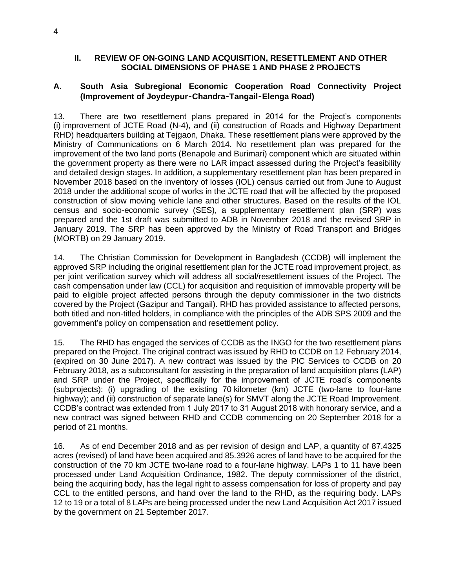#### <span id="page-7-0"></span>**II. REVIEW OF ON-GOING LAND ACQUISITION, RESETTLEMENT AND OTHER SOCIAL DIMENSIONS OF PHASE 1 AND PHASE 2 PROJECTS**

### <span id="page-7-1"></span>**A. South Asia Subregional Economic Cooperation Road Connectivity Project (Improvement of Joydeypur**–**Chandra**–**Tangail**–**Elenga Road)**

13. There are two resettlement plans prepared in 2014 for the Project's components (i) improvement of JCTE Road (N-4), and (ii) construction of Roads and Highway Department RHD) headquarters building at Tejgaon, Dhaka. These resettlement plans were approved by the Ministry of Communications on 6 March 2014. No resettlement plan was prepared for the improvement of the two land ports (Benapole and Burimari) component which are situated within the government property as there were no LAR impact assessed during the Project's feasibility and detailed design stages. In addition, a supplementary resettlement plan has been prepared in November 2018 based on the inventory of losses (IOL) census carried out from June to August 2018 under the additional scope of works in the JCTE road that will be affected by the proposed construction of slow moving vehicle lane and other structures. Based on the results of the IOL census and socio-economic survey (SES), a supplementary resettlement plan (SRP) was prepared and the 1st draft was submitted to ADB in November 2018 and the revised SRP in January 2019. The SRP has been approved by the Ministry of Road Transport and Bridges (MORTB) on 29 January 2019.

14. The Christian Commission for Development in Bangladesh (CCDB) will implement the approved SRP including the original resettlement plan for the JCTE road improvement project, as per joint verification survey which will address all social/resettlement issues of the Project. The cash compensation under law (CCL) for acquisition and requisition of immovable property will be paid to eligible project affected persons through the deputy commissioner in the two districts covered by the Project (Gazipur and Tangail). RHD has provided assistance to affected persons, both titled and non-titled holders, in compliance with the principles of the ADB SPS 2009 and the government's policy on compensation and resettlement policy.

15. The RHD has engaged the services of CCDB as the INGO for the two resettlement plans prepared on the Project. The original contract was issued by RHD to CCDB on 12 February 2014, (expired on 30 June 2017). A new contract was issued by the PIC Services to CCDB on 20 February 2018, as a subconsultant for assisting in the preparation of land acquisition plans (LAP) and SRP under the Project, specifically for the improvement of JCTE road's components (subprojects): (i) upgrading of the existing 70 kilometer (km) JCTE (two-lane to four-lane highway); and (ii) construction of separate lane(s) for SMVT along the JCTE Road Improvement. CCDB's contract was extended from 1 July 2017 to 31 August 2018 with honorary service, and a new contract was signed between RHD and CCDB commencing on 20 September 2018 for a period of 21 months.

16. As of end December 2018 and as per revision of design and LAP, a quantity of 87.4325 acres (revised) of land have been acquired and 85.3926 acres of land have to be acquired for the construction of the 70 km JCTE two-lane road to a four-lane highway. LAPs 1 to 11 have been processed under Land Acquisition Ordinance, 1982. The deputy commissioner of the district, being the acquiring body, has the legal right to assess compensation for loss of property and pay CCL to the entitled persons, and hand over the land to the RHD, as the requiring body. LAPs 12 to 19 or a total of 8 LAPs are being processed under the new Land Acquisition Act 2017 issued by the government on 21 September 2017.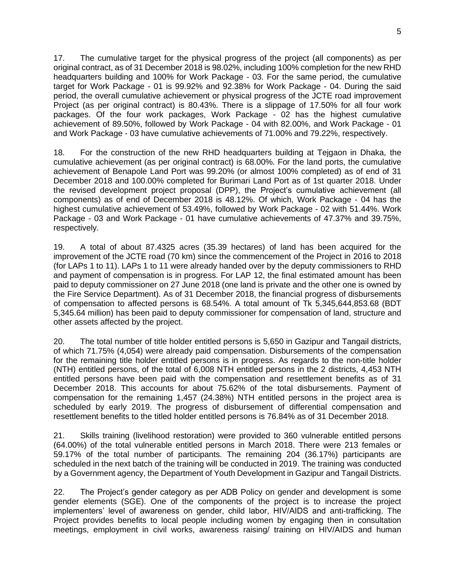17. The cumulative target for the physical progress of the project (all components) as per original contract, as of 31 December 2018 is 98.02%, including 100% completion for the new RHD headquarters building and 100% for Work Package - 03. For the same period, the cumulative target for Work Package - 01 is 99.92% and 92.38% for Work Package - 04. During the said period, the overall cumulative achievement or physical progress of the JCTE road improvement Project (as per original contract) is 80.43%. There is a slippage of 17.50% for all four work packages. Of the four work packages, Work Package - 02 has the highest cumulative achievement of 89.50%, followed by Work Package - 04 with 82.00%, and Work Package - 01 and Work Package - 03 have cumulative achievements of 71.00% and 79.22%, respectively.

18. For the construction of the new RHD headquarters building at Tejgaon in Dhaka, the cumulative achievement (as per original contract) is 68.00%. For the land ports, the cumulative achievement of Benapole Land Port was 99.20% (or almost 100% completed) as of end of 31 December 2018 and 100.00% completed for Burimari Land Port as of 1st quarter 2018. Under the revised development project proposal (DPP), the Project's cumulative achievement (all components) as of end of December 2018 is 48.12%. Of which, Work Package - 04 has the highest cumulative achievement of 53.49%, followed by Work Package - 02 with 51.44%. Work Package - 03 and Work Package - 01 have cumulative achievements of 47.37% and 39.75%, respectively.

19. A total of about 87.4325 acres (35.39 hectares) of land has been acquired for the improvement of the JCTE road (70 km) since the commencement of the Project in 2016 to 2018 (for LAPs 1 to 11). LAPs 1 to 11 were already handed over by the deputy commissioners to RHD and payment of compensation is in progress. For LAP 12, the final estimated amount has been paid to deputy commissioner on 27 June 2018 (one land is private and the other one is owned by the Fire Service Department). As of 31 December 2018, the financial progress of disbursements of compensation to affected persons is 68.54%. A total amount of Tk 5,345,644,853.68 (BDT 5,345.64 million) has been paid to deputy commissioner for compensation of land, structure and other assets affected by the project.

20. The total number of title holder entitled persons is 5,650 in Gazipur and Tangail districts, of which 71.75% (4,054) were already paid compensation. Disbursements of the compensation for the remaining title holder entitled persons is in progress. As regards to the non-title holder (NTH) entitled persons, of the total of 6,008 NTH entitled persons in the 2 districts, 4,453 NTH entitled persons have been paid with the compensation and resettlement benefits as of 31 December 2018. This accounts for about 75.62% of the total disbursements. Payment of compensation for the remaining 1,457 (24.38%) NTH entitled persons in the project area is scheduled by early 2019. The progress of disbursement of differential compensation and resettlement benefits to the titled holder entitled persons is 76.84% as of 31 December 2018.

21. Skills training (livelihood restoration) were provided to 360 vulnerable entitled persons (64.00%) of the total vulnerable entitled persons in March 2018. There were 213 females or 59.17% of the total number of participants. The remaining 204 (36.17%) participants are scheduled in the next batch of the training will be conducted in 2019. The training was conducted by a Government agency, the Department of Youth Development in Gazipur and Tangail Districts.

22. The Project's gender category as per ADB Policy on gender and development is some gender elements (SGE). One of the components of the project is to increase the project implementers' level of awareness on gender, child labor, HIV/AIDS and anti-trafficking. The Project provides benefits to local people including women by engaging then in consultation meetings, employment in civil works, awareness raising/ training on HIV/AIDS and human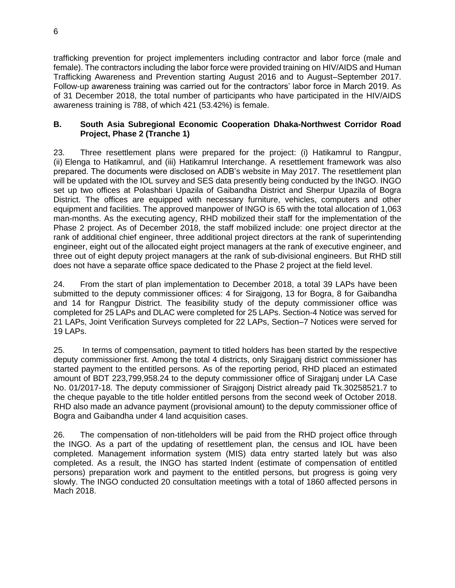trafficking prevention for project implementers including contractor and labor force (male and female). The contractors including the labor force were provided training on HIV/AIDS and Human Trafficking Awareness and Prevention starting August 2016 and to August–September 2017. Follow-up awareness training was carried out for the contractors' labor force in March 2019. As of 31 December 2018, the total number of participants who have participated in the HIV/AIDS awareness training is 788, of which 421 (53.42%) is female.

### <span id="page-9-0"></span>**B. South Asia Subregional Economic Cooperation Dhaka-Northwest Corridor Road Project, Phase 2 (Tranche 1)**

23. Three resettlement plans were prepared for the project: (i) Hatikamrul to Rangpur, (ii) Elenga to Hatikamrul, and (iii) Hatikamrul Interchange. A resettlement framework was also prepared. The documents were disclosed on ADB's website in May 2017. The resettlement plan will be updated with the IOL survey and SES data presently being conducted by the INGO. INGO set up two offices at Polashbari Upazila of Gaibandha District and Sherpur Upazila of Bogra District. The offices are equipped with necessary furniture, vehicles, computers and other equipment and facilities. The approved manpower of INGO is 65 with the total allocation of 1,063 man-months. As the executing agency, RHD mobilized their staff for the implementation of the Phase 2 project. As of December 2018, the staff mobilized include: one project director at the rank of additional chief engineer, three additional project directors at the rank of superintending engineer, eight out of the allocated eight project managers at the rank of executive engineer, and three out of eight deputy project managers at the rank of sub-divisional engineers. But RHD still does not have a separate office space dedicated to the Phase 2 project at the field level.

24. From the start of plan implementation to December 2018, a total 39 LAPs have been submitted to the deputy commissioner offices: 4 for Sirajgong, 13 for Bogra, 8 for Gaibandha and 14 for Rangpur District. The feasibility study of the deputy commissioner office was completed for 25 LAPs and DLAC were completed for 25 LAPs. Section-4 Notice was served for 21 LAPs, Joint Verification Surveys completed for 22 LAPs, Section–7 Notices were served for 19 LAPs.

25. In terms of compensation, payment to titled holders has been started by the respective deputy commissioner first. Among the total 4 districts, only Sirajganj district commissioner has started payment to the entitled persons. As of the reporting period, RHD placed an estimated amount of BDT 223,799,958.24 to the deputy commissioner office of Sirajganj under LA Case No. 01/2017-18. The deputy commissioner of Sirajgonj District already paid Tk.30258521.7 to the cheque payable to the title holder entitled persons from the second week of October 2018. RHD also made an advance payment (provisional amount) to the deputy commissioner office of Bogra and Gaibandha under 4 land acquisition cases.

26. The compensation of non-titleholders will be paid from the RHD project office through the INGO. As a part of the updating of resettlement plan, the census and IOL have been completed. Management information system (MIS) data entry started lately but was also completed. As a result, the INGO has started Indent (estimate of compensation of entitled persons) preparation work and payment to the entitled persons, but progress is going very slowly. The INGO conducted 20 consultation meetings with a total of 1860 affected persons in Mach 2018.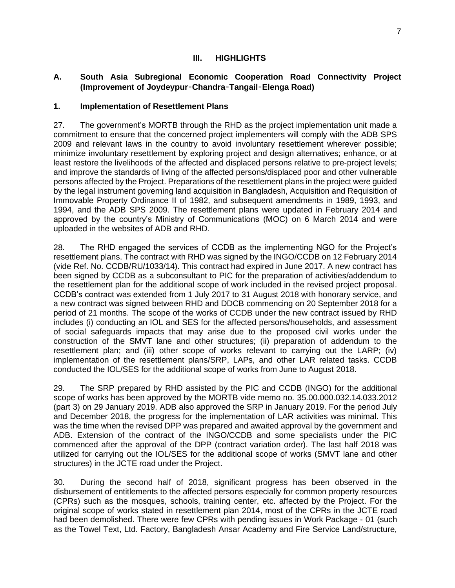### **III. HIGHLIGHTS**

#### <span id="page-10-1"></span><span id="page-10-0"></span>**A. South Asia Subregional Economic Cooperation Road Connectivity Project (Improvement of Joydeypur**–**Chandra**–**Tangail**–**Elenga Road)**

#### <span id="page-10-2"></span>**1. Implementation of Resettlement Plans**

27. The government's MORTB through the RHD as the project implementation unit made a commitment to ensure that the concerned project implementers will comply with the ADB SPS 2009 and relevant laws in the country to avoid involuntary resettlement wherever possible; minimize involuntary resettlement by exploring project and design alternatives; enhance, or at least restore the livelihoods of the affected and displaced persons relative to pre-project levels; and improve the standards of living of the affected persons/displaced poor and other vulnerable persons affected by the Project. Preparations of the resettlement plans in the project were guided by the legal instrument governing land acquisition in Bangladesh, Acquisition and Requisition of Immovable Property Ordinance II of 1982, and subsequent amendments in 1989, 1993, and 1994, and the ADB SPS 2009. The resettlement plans were updated in February 2014 and approved by the country's Ministry of Communications (MOC) on 6 March 2014 and were uploaded in the websites of ADB and RHD.

28. The RHD engaged the services of CCDB as the implementing NGO for the Project's resettlement plans. The contract with RHD was signed by the INGO/CCDB on 12 February 2014 (vide Ref. No. CCDB/RU/1033/14). This contract had expired in June 2017. A new contract has been signed by CCDB as a subconsultant to PIC for the preparation of activities/addendum to the resettlement plan for the additional scope of work included in the revised project proposal. CCDB's contract was extended from 1 July 2017 to 31 August 2018 with honorary service, and a new contract was signed between RHD and DDCB commencing on 20 September 2018 for a period of 21 months. The scope of the works of CCDB under the new contract issued by RHD includes (i) conducting an IOL and SES for the affected persons/households, and assessment of social safeguards impacts that may arise due to the proposed civil works under the construction of the SMVT lane and other structures; (ii) preparation of addendum to the resettlement plan; and (iii) other scope of works relevant to carrying out the LARP; (iv) implementation of the resettlement plans/SRP, LAPs, and other LAR related tasks. CCDB conducted the IOL/SES for the additional scope of works from June to August 2018.

29. The SRP prepared by RHD assisted by the PIC and CCDB (INGO) for the additional scope of works has been approved by the MORTB vide memo no. 35.00.000.032.14.033.2012 (part 3) on 29 January 2019. ADB also approved the SRP in January 2019. For the period July and December 2018, the progress for the implementation of LAR activities was minimal. This was the time when the revised DPP was prepared and awaited approval by the government and ADB. Extension of the contract of the INGO/CCDB and some specialists under the PIC commenced after the approval of the DPP (contract variation order). The last half 2018 was utilized for carrying out the IOL/SES for the additional scope of works (SMVT lane and other structures) in the JCTE road under the Project.

30. During the second half of 2018, significant progress has been observed in the disbursement of entitlements to the affected persons especially for common property resources (CPRs) such as the mosques, schools, training center, etc. affected by the Project. For the original scope of works stated in resettlement plan 2014, most of the CPRs in the JCTE road had been demolished. There were few CPRs with pending issues in Work Package - 01 (such as the Towel Text, Ltd. Factory, Bangladesh Ansar Academy and Fire Service Land/structure,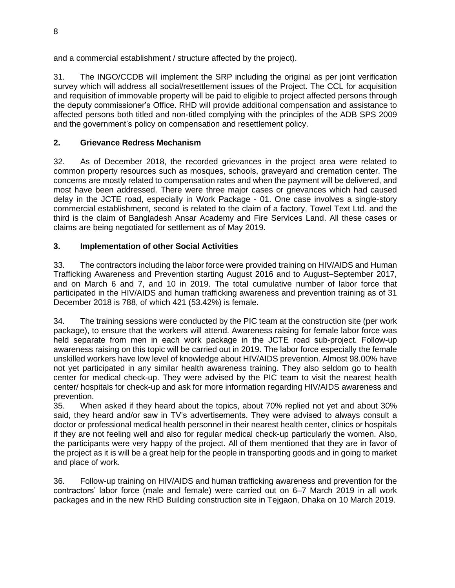and a commercial establishment / structure affected by the project).

31. The INGO/CCDB will implement the SRP including the original as per joint verification survey which will address all social/resettlement issues of the Project. The CCL for acquisition and requisition of immovable property will be paid to eligible to project affected persons through the deputy commissioner's Office. RHD will provide additional compensation and assistance to affected persons both titled and non-titled complying with the principles of the ADB SPS 2009 and the government's policy on compensation and resettlement policy.

# <span id="page-11-0"></span>**2. Grievance Redress Mechanism**

32. As of December 2018, the recorded grievances in the project area were related to common property resources such as mosques, schools, graveyard and cremation center. The concerns are mostly related to compensation rates and when the payment will be delivered, and most have been addressed. There were three major cases or grievances which had caused delay in the JCTE road, especially in Work Package - 01. One case involves a single-story commercial establishment, second is related to the claim of a factory, Towel Text Ltd. and the third is the claim of Bangladesh Ansar Academy and Fire Services Land. All these cases or claims are being negotiated for settlement as of May 2019.

# <span id="page-11-1"></span>**3. Implementation of other Social Activities**

33. The contractors including the labor force were provided training on HIV/AIDS and Human Trafficking Awareness and Prevention starting August 2016 and to August–September 2017, and on March 6 and 7, and 10 in 2019. The total cumulative number of labor force that participated in the HIV/AIDS and human trafficking awareness and prevention training as of 31 December 2018 is 788, of which 421 (53.42%) is female.

34. The training sessions were conducted by the PIC team at the construction site (per work package), to ensure that the workers will attend. Awareness raising for female labor force was held separate from men in each work package in the JCTE road sub-project. Follow-up awareness raising on this topic will be carried out in 2019. The labor force especially the female unskilled workers have low level of knowledge about HIV/AIDS prevention. Almost 98.00% have not yet participated in any similar health awareness training. They also seldom go to health center for medical check-up. They were advised by the PIC team to visit the nearest health center/ hospitals for check-up and ask for more information regarding HIV/AIDS awareness and prevention.

35. When asked if they heard about the topics, about 70% replied not yet and about 30% said, they heard and/or saw in TV's advertisements. They were advised to always consult a doctor or professional medical health personnel in their nearest health center, clinics or hospitals if they are not feeling well and also for regular medical check-up particularly the women. Also, the participants were very happy of the project. All of them mentioned that they are in favor of the project as it is will be a great help for the people in transporting goods and in going to market and place of work.

36. Follow-up training on HIV/AIDS and human trafficking awareness and prevention for the contractors' labor force (male and female) were carried out on 6–7 March 2019 in all work packages and in the new RHD Building construction site in Tejgaon, Dhaka on 10 March 2019.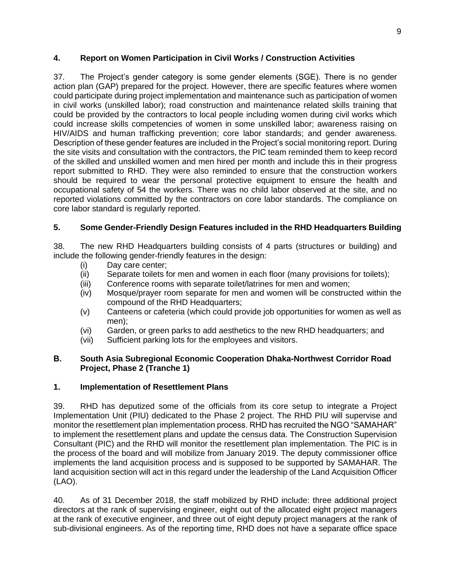### <span id="page-12-0"></span>**4. Report on Women Participation in Civil Works / Construction Activities**

37. The Project's gender category is some gender elements (SGE). There is no gender action plan (GAP) prepared for the project. However, there are specific features where women could participate during project implementation and maintenance such as participation of women in civil works (unskilled labor); road construction and maintenance related skills training that could be provided by the contractors to local people including women during civil works which could increase skills competencies of women in some unskilled labor; awareness raising on HIV/AIDS and human trafficking prevention; core labor standards; and gender awareness. Description of these gender features are included in the Project's social monitoring report. During the site visits and consultation with the contractors, the PIC team reminded them to keep record of the skilled and unskilled women and men hired per month and include this in their progress report submitted to RHD. They were also reminded to ensure that the construction workers should be required to wear the personal protective equipment to ensure the health and occupational safety of 54 the workers. There was no child labor observed at the site, and no reported violations committed by the contractors on core labor standards. The compliance on core labor standard is regularly reported.

# <span id="page-12-1"></span>**5. Some Gender-Friendly Design Features included in the RHD Headquarters Building**

38. The new RHD Headquarters building consists of 4 parts (structures or building) and include the following gender-friendly features in the design:

- (i) Day care center;
- (ii) Separate toilets for men and women in each floor (many provisions for toilets);
- (iii) Conference rooms with separate toilet/latrines for men and women;
- (iv) Mosque/prayer room separate for men and women will be constructed within the compound of the RHD Headquarters;
- (v) Canteens or cafeteria (which could provide job opportunities for women as well as men);
- (vi) Garden, or green parks to add aesthetics to the new RHD headquarters; and
- (vii) Sufficient parking lots for the employees and visitors.

#### <span id="page-12-2"></span>**B. South Asia Subregional Economic Cooperation Dhaka-Northwest Corridor Road Project, Phase 2 (Tranche 1)**

#### <span id="page-12-3"></span>**1. Implementation of Resettlement Plans**

39. RHD has deputized some of the officials from its core setup to integrate a Project Implementation Unit (PIU) dedicated to the Phase 2 project. The RHD PIU will supervise and monitor the resettlement plan implementation process. RHD has recruited the NGO "SAMAHAR" to implement the resettlement plans and update the census data. The Construction Supervision Consultant (PIC) and the RHD will monitor the resettlement plan implementation. The PIC is in the process of the board and will mobilize from January 2019. The deputy commissioner office implements the land acquisition process and is supposed to be supported by SAMAHAR. The land acquisition section will act in this regard under the leadership of the Land Acquisition Officer (LAO).

40. As of 31 December 2018, the staff mobilized by RHD include: three additional project directors at the rank of supervising engineer, eight out of the allocated eight project managers at the rank of executive engineer, and three out of eight deputy project managers at the rank of sub-divisional engineers. As of the reporting time, RHD does not have a separate office space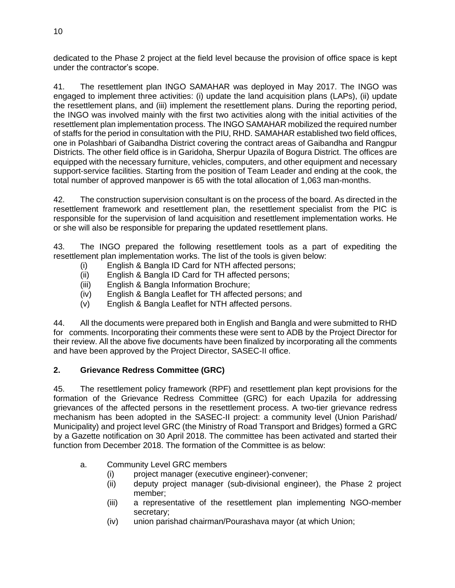dedicated to the Phase 2 project at the field level because the provision of office space is kept under the contractor's scope.

41. The resettlement plan INGO SAMAHAR was deployed in May 2017. The INGO was engaged to implement three activities: (i) update the land acquisition plans (LAPs), (ii) update the resettlement plans, and (iii) implement the resettlement plans. During the reporting period, the INGO was involved mainly with the first two activities along with the initial activities of the resettlement plan implementation process. The INGO SAMAHAR mobilized the required number of staffs for the period in consultation with the PIU, RHD. SAMAHAR established two field offices, one in Polashbari of Gaibandha District covering the contract areas of Gaibandha and Rangpur Districts. The other field office is in Garidoha, Sherpur Upazila of Bogura District. The offices are equipped with the necessary furniture, vehicles, computers, and other equipment and necessary support-service facilities. Starting from the position of Team Leader and ending at the cook, the total number of approved manpower is 65 with the total allocation of 1,063 man-months.

42. The construction supervision consultant is on the process of the board. As directed in the resettlement framework and resettlement plan, the resettlement specialist from the PIC is responsible for the supervision of land acquisition and resettlement implementation works. He or she will also be responsible for preparing the updated resettlement plans.

43. The INGO prepared the following resettlement tools as a part of expediting the resettlement plan implementation works. The list of the tools is given below:

- (i) English & Bangla ID Card for NTH affected persons;
- (ii) English & Bangla ID Card for TH affected persons;
- (iii) English & Bangla Information Brochure;
- (iv) English & Bangla Leaflet for TH affected persons; and
- (v) English & Bangla Leaflet for NTH affected persons.

44. All the documents were prepared both in English and Bangla and were submitted to RHD for comments. Incorporating their comments these were sent to ADB by the Project Director for their review. All the above five documents have been finalized by incorporating all the comments and have been approved by the Project Director, SASEC-II office.

# <span id="page-13-0"></span>**2. Grievance Redress Committee (GRC)**

45. The resettlement policy framework (RPF) and resettlement plan kept provisions for the formation of the Grievance Redress Committee (GRC) for each Upazila for addressing grievances of the affected persons in the resettlement process. A two-tier grievance redress mechanism has been adopted in the SASEC-II project: a community level (Union Parishad/ Municipality) and project level GRC (the Ministry of Road Transport and Bridges) formed a GRC by a Gazette notification on 30 April 2018. The committee has been activated and started their function from December 2018. The formation of the Committee is as below:

# a. Community Level GRC members

- (i) project manager (executive engineer)-convener;
- (ii) deputy project manager (sub-divisional engineer), the Phase 2 project member;
- (iii) a representative of the resettlement plan implementing NGO-member secretary;
- (iv) union parishad chairman/Pourashava mayor (at which Union;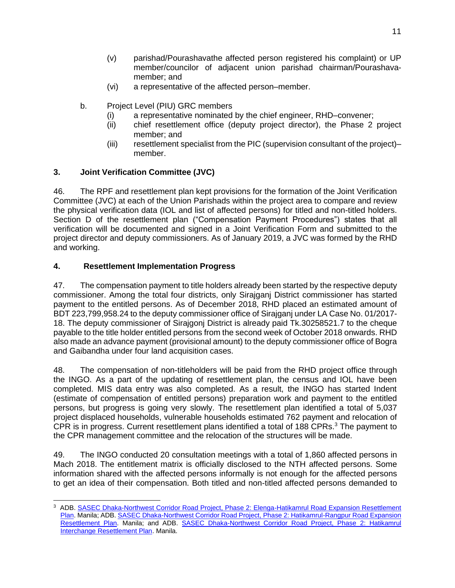- (v) parishad/Pourashavathe affected person registered his complaint) or UP member/councilor of adjacent union parishad chairman/Pourashavamember; and
- (vi) a representative of the affected person–member.
- b. Project Level (PIU) GRC members
	- (i) a representative nominated by the chief engineer, RHD–convener;
	- (ii) chief resettlement office (deputy project director), the Phase 2 project member; and
	- (iii) resettlement specialist from the PIC (supervision consultant of the project)– member.

# <span id="page-14-0"></span>**3. Joint Verification Committee (JVC)**

46. The RPF and resettlement plan kept provisions for the formation of the Joint Verification Committee (JVC) at each of the Union Parishads within the project area to compare and review the physical verification data (IOL and list of affected persons) for titled and non-titled holders. Section D of the resettlement plan ("Compensation Payment Procedures") states that all verification will be documented and signed in a Joint Verification Form and submitted to the project director and deputy commissioners. As of January 2019, a JVC was formed by the RHD and working.

# <span id="page-14-1"></span>**4. Resettlement Implementation Progress**

47. The compensation payment to title holders already been started by the respective deputy commissioner. Among the total four districts, only Sirajganj District commissioner has started payment to the entitled persons. As of December 2018, RHD placed an estimated amount of BDT 223,799,958.24 to the deputy commissioner office of Sirajganj under LA Case No. 01/2017- 18. The deputy commissioner of Sirajgonj District is already paid Tk.30258521.7 to the cheque payable to the title holder entitled persons from the second week of October 2018 onwards. RHD also made an advance payment (provisional amount) to the deputy commissioner office of Bogra and Gaibandha under four land acquisition cases.

48. The compensation of non-titleholders will be paid from the RHD project office through the INGO. As a part of the updating of resettlement plan, the census and IOL have been completed. MIS data entry was also completed. As a result, the INGO has started Indent (estimate of compensation of entitled persons) preparation work and payment to the entitled persons, but progress is going very slowly. The resettlement plan identified a total of 5,037 project displaced households, vulnerable households estimated 762 payment and relocation of CPR is in progress. Current resettlement plans identified a total of 188 CPRs.<sup>3</sup> The payment to the CPR management committee and the relocation of the structures will be made.

49. The INGO conducted 20 consultation meetings with a total of 1,860 affected persons in Mach 2018. The entitlement matrix is officially disclosed to the NTH affected persons. Some information shared with the affected persons informally is not enough for the affected persons to get an idea of their compensation. Both titled and non-titled affected persons demanded to

<sup>&</sup>lt;sup>3</sup> ADB. SASEC Dhaka-Northwest Corridor Road Project, Phase 2: Elenga-Hatikamrul Road Expansion Resettlement [Plan.](https://www.adb.org/projects/documents/ban-40540-016-rp) Manila; ADB[. SASEC Dhaka-Northwest Corridor Road Project, Phase 2: Hatikamrul-Rangpur Road Expansion](https://www.adb.org/projects/documents/ban-40540-016-rp-1)  [Resettlement Plan.](https://www.adb.org/projects/documents/ban-40540-016-rp-1) Manila; and ADB. [SASEC Dhaka-Northwest Corridor Road Project, Phase 2: Hatikamrul](https://www.adb.org/projects/documents/ban-40540-016-rp-0)  [Interchange Resettlement Plan.](https://www.adb.org/projects/documents/ban-40540-016-rp-0) Manila.